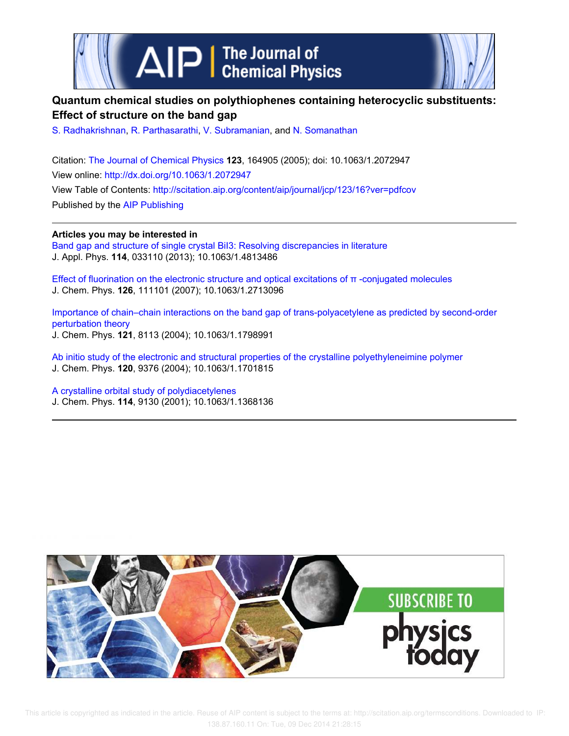



# **Quantum chemical studies on polythiophenes containing heterocyclic substituents: Effect of structure on the band gap**

S. Radhakrishnan, R. Parthasarathi, V. Subramanian, and N. Somanathan

Citation: The Journal of Chemical Physics **123**, 164905 (2005); doi: 10.1063/1.2072947 View online: http://dx.doi.org/10.1063/1.2072947 View Table of Contents: http://scitation.aip.org/content/aip/journal/jcp/123/16?ver=pdfcov Published by the AIP Publishing

**Articles you may be interested in**

Band gap and structure of single crystal BiI3: Resolving discrepancies in literature J. Appl. Phys. **114**, 033110 (2013); 10.1063/1.4813486

Effect of fluorination on the electronic structure and optical excitations of π -conjugated molecules J. Chem. Phys. **126**, 111101 (2007); 10.1063/1.2713096

Importance of chain–chain interactions on the band gap of trans-polyacetylene as predicted by second-order perturbation theory J. Chem. Phys. **121**, 8113 (2004); 10.1063/1.1798991

Ab initio study of the electronic and structural properties of the crystalline polyethyleneimine polymer J. Chem. Phys. **120**, 9376 (2004); 10.1063/1.1701815

A crystalline orbital study of polydiacetylenes J. Chem. Phys. **114**, 9130 (2001); 10.1063/1.1368136

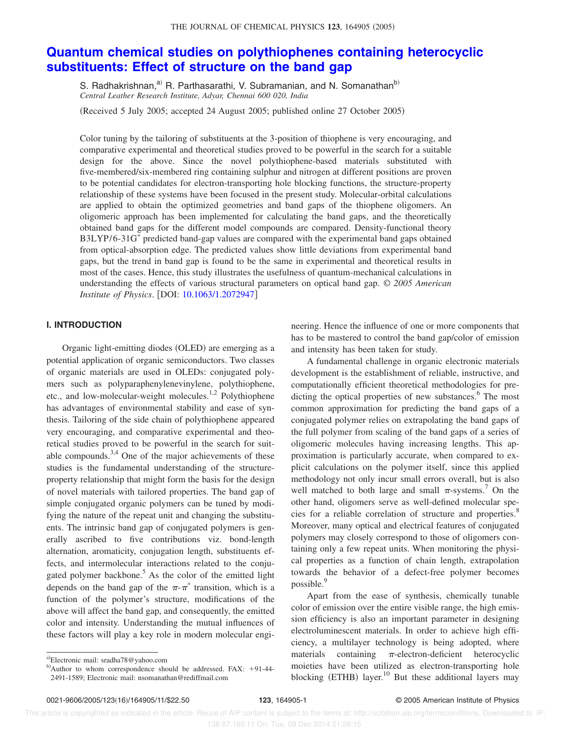# **Quantum chemical studies on polythiophenes containing heterocyclic substituents: Effect of structure on the band gap**

S. Radhakrishnan,<sup>a)</sup> R. Parthasarathi, V. Subramanian, and N. Somanathan<sup>b)</sup> *Central Leather Research Institute, Adyar, Chennai 600 020, India*

Received 5 July 2005; accepted 24 August 2005; published online 27 October 2005-

Color tuning by the tailoring of substituents at the 3-position of thiophene is very encouraging, and comparative experimental and theoretical studies proved to be powerful in the search for a suitable design for the above. Since the novel polythiophene-based materials substituted with five-membered/six-membered ring containing sulphur and nitrogen at different positions are proven to be potential candidates for electron-transporting hole blocking functions, the structure-property relationship of these systems have been focused in the present study. Molecular-orbital calculations are applied to obtain the optimized geometries and band gaps of the thiophene oligomers. An oligomeric approach has been implemented for calculating the band gaps, and the theoretically obtained band gaps for the different model compounds are compared. Density-functional theory B3LYP/6-31G\* predicted band-gap values are compared with the experimental band gaps obtained from optical-absorption edge. The predicted values show little deviations from experimental band gaps, but the trend in band gap is found to be the same in experimental and theoretical results in most of the cases. Hence, this study illustrates the usefulness of quantum-mechanical calculations in understanding the effects of various structural parameters on optical band gap. © *2005 American Institute of Physics.* [DOI: 10.1063/1.2072947]

### **I. INTRODUCTION**

Organic light-emitting diodes (OLED) are emerging as a potential application of organic semiconductors. Two classes of organic materials are used in OLEDs: conjugated polymers such as polyparaphenylenevinylene, polythiophene, etc., and low-molecular-weight molecules.<sup>1,2</sup> Polythiophene has advantages of environmental stability and ease of synthesis. Tailoring of the side chain of polythiophene appeared very encouraging, and comparative experimental and theoretical studies proved to be powerful in the search for suitable compounds.<sup>3,4</sup> One of the major achievements of these studies is the fundamental understanding of the structureproperty relationship that might form the basis for the design of novel materials with tailored properties. The band gap of simple conjugated organic polymers can be tuned by modifying the nature of the repeat unit and changing the substituents. The intrinsic band gap of conjugated polymers is generally ascribed to five contributions viz. bond-length alternation, aromaticity, conjugation length, substituents effects, and intermolecular interactions related to the conjugated polymer backbone.<sup>5</sup> As the color of the emitted light depends on the band gap of the  $\pi$ - $\pi$ <sup>\*</sup> transition, which is a function of the polymer's structure, modifications of the above will affect the band gap, and consequently, the emitted color and intensity. Understanding the mutual influences of these factors will play a key role in modern molecular engineering. Hence the influence of one or more components that has to be mastered to control the band gap/color of emission and intensity has been taken for study.

A fundamental challenge in organic electronic materials development is the establishment of reliable, instructive, and computationally efficient theoretical methodologies for predicting the optical properties of new substances.<sup>6</sup> The most common approximation for predicting the band gaps of a conjugated polymer relies on extrapolating the band gaps of the full polymer from scaling of the band gaps of a series of oligomeric molecules having increasing lengths. This approximation is particularly accurate, when compared to explicit calculations on the polymer itself, since this applied methodology not only incur small errors overall, but is also well matched to both large and small  $\pi$ -systems.<sup>7</sup> On the other hand, oligomers serve as well-defined molecular species for a reliable correlation of structure and properties.<sup>8</sup> Moreover, many optical and electrical features of conjugated polymers may closely correspond to those of oligomers containing only a few repeat units. When monitoring the physical properties as a function of chain length, extrapolation towards the behavior of a defect-free polymer becomes possible.<sup>9</sup>

Apart from the ease of synthesis, chemically tunable color of emission over the entire visible range, the high emission efficiency is also an important parameter in designing electroluminescent materials. In order to achieve high efficiency, a multilayer technology is being adopted, where materials containing  $\pi$ -electron-deficient heterocyclic moieties have been utilized as electron-transporting hole blocking (ETHB) layer.<sup>10</sup> But these additional layers may

a)Electronic mail: sradha78@yahoo.com

b)Author to whom correspondence should be addressed. FAX: +91-44-2491-1589; Electronic mail: nsomanathan@rediffmail.com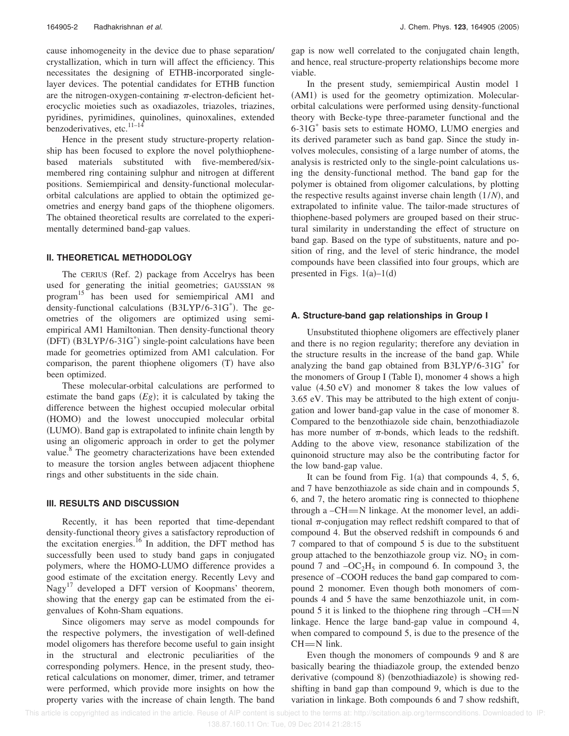cause inhomogeneity in the device due to phase separation/ crystallization, which in turn will affect the efficiency. This necessitates the designing of ETHB-incorporated singlelayer devices. The potential candidates for ETHB function are the nitrogen-oxygen-containing  $\pi$ -electron-deficient heterocyclic moieties such as oxadiazoles, triazoles, triazines, pyridines, pyrimidines, quinolines, quinoxalines, extended benzoderivatives, etc.<sup>11–14</sup>

Hence in the present study structure-property relationship has been focused to explore the novel polythiophenebased materials substituted with five-membered/sixmembered ring containing sulphur and nitrogen at different positions. Semiempirical and density-functional molecularorbital calculations are applied to obtain the optimized geometries and energy band gaps of the thiophene oligomers. The obtained theoretical results are correlated to the experimentally determined band-gap values.

#### **II. THEORETICAL METHODOLOGY**

The CERIUS (Ref. 2) package from Accelrys has been used for generating the initial geometries; GAUSSIAN 98 program<sup>15</sup> has been used for semiempirical AM1 and density-functional calculations (B3LYP/6-31G<sup>\*</sup>). The geometries of the oligomers are optimized using semiempirical AM1 Hamiltonian. Then density-functional theory (DFT) (B3LYP/6-31G<sup>\*</sup>) single-point calculations have been made for geometries optimized from AM1 calculation. For comparison, the parent thiophene oligomers  $(T)$  have also been optimized.

These molecular-orbital calculations are performed to estimate the band gaps  $(Eg)$ ; it is calculated by taking the difference between the highest occupied molecular orbital (HOMO) and the lowest unoccupied molecular orbital (LUMO). Band gap is extrapolated to infinite chain length by using an oligomeric approach in order to get the polymer value.<sup>8</sup> The geometry characterizations have been extended to measure the torsion angles between adjacent thiophene rings and other substituents in the side chain.

#### **III. RESULTS AND DISCUSSION**

Recently, it has been reported that time-dependant density-functional theory gives a satisfactory reproduction of the excitation energies.<sup>16</sup> In addition, the DFT method has successfully been used to study band gaps in conjugated polymers, where the HOMO-LUMO difference provides a good estimate of the excitation energy. Recently Levy and Nagy<sup>17</sup> developed a DFT version of Koopmans' theorem, showing that the energy gap can be estimated from the eigenvalues of Kohn-Sham equations.

Since oligomers may serve as model compounds for the respective polymers, the investigation of well-defined model oligomers has therefore become useful to gain insight in the structural and electronic peculiarities of the corresponding polymers. Hence, in the present study, theoretical calculations on monomer, dimer, trimer, and tetramer were performed, which provide more insights on how the property varies with the increase of chain length. The band gap is now well correlated to the conjugated chain length, and hence, real structure-property relationships become more viable.

In the present study, semiempirical Austin model 1 (AM1) is used for the geometry optimization. Molecularorbital calculations were performed using density-functional theory with Becke-type three-parameter functional and the 6-31G\* basis sets to estimate HOMO, LUMO energies and its derived parameter such as band gap. Since the study involves molecules, consisting of a large number of atoms, the analysis is restricted only to the single-point calculations using the density-functional method. The band gap for the polymer is obtained from oligomer calculations, by plotting the respective results against inverse chain length  $(1/N)$ , and extrapolated to infinite value. The tailor-made structures of thiophene-based polymers are grouped based on their structural similarity in understanding the effect of structure on band gap. Based on the type of substituents, nature and position of ring, and the level of steric hindrance, the model compounds have been classified into four groups, which are presented in Figs.  $1(a)-1(d)$ 

### **A. Structure-band gap relationships in Group I**

Unsubstituted thiophene oligomers are effectively planer and there is no region regularity; therefore any deviation in the structure results in the increase of the band gap. While analyzing the band gap obtained from B3LYP/6-31G\* for the monomers of Group I (Table I), monomer 4 shows a high value  $(4.50 \text{ eV})$  and monomer 8 takes the low values of 3.65 eV. This may be attributed to the high extent of conjugation and lower band-gap value in the case of monomer 8. Compared to the benzothiazole side chain, benzothiadiazole has more number of  $\pi$ -bonds, which leads to the redshift. Adding to the above view, resonance stabilization of the quinonoid structure may also be the contributing factor for the low band-gap value.

It can be found from Fig.  $1(a)$  that compounds 4, 5, 6, and 7 have benzothiazole as side chain and in compounds 5, 6, and 7, the hetero aromatic ring is connected to thiophene through a  $-CH = N$  linkage. At the monomer level, an additional  $\pi$ -conjugation may reflect redshift compared to that of compound 4. But the observed redshift in compounds 6 and 7 compared to that of compound 5 is due to the substituent group attached to the benzothiazole group viz.  $NO<sub>2</sub>$  in compound 7 and  $-OC_2H_5$  in compound 6. In compound 3, the presence of –COOH reduces the band gap compared to compound 2 monomer. Even though both monomers of compounds 4 and 5 have the same benzothiazole unit, in compound 5 it is linked to the thiophene ring through  $-CH = N$ linkage. Hence the large band-gap value in compound 4, when compared to compound 5, is due to the presence of the  $CH = N$  link.

Even though the monomers of compounds 9 and 8 are basically bearing the thiadiazole group, the extended benzo derivative (compound 8) (benzothiadiazole) is showing redshifting in band gap than compound 9, which is due to the variation in linkage. Both compounds 6 and 7 show redshift,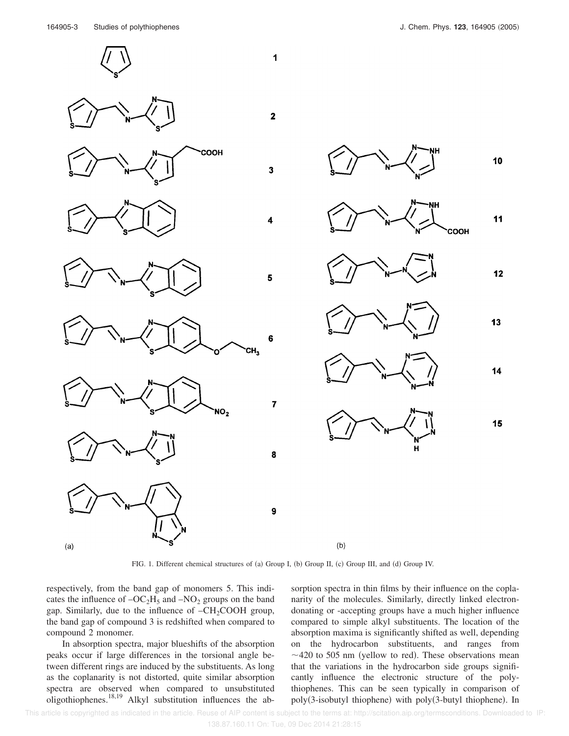





















12







FIG. 1. Different chemical structures of (a) Group I, (b) Group II, (c) Group III, and (d) Group IV.

 $(b)$ 

 $\overline{7}$ 

8

9

3

respectively, from the band gap of monomers 5. This indicates the influence of  $-OC<sub>2</sub>H<sub>5</sub>$  and  $-NO<sub>2</sub>$  groups on the band gap. Similarly, due to the influence of  $-CH_2COOH$  group, the band gap of compound 3 is redshifted when compared to compound 2 monomer.

In absorption spectra, major blueshifts of the absorption peaks occur if large differences in the torsional angle between different rings are induced by the substituents. As long as the coplanarity is not distorted, quite similar absorption spectra are observed when compared to unsubstituted oligothiophenes.18,19 Alkyl substitution influences the absorption spectra in thin films by their influence on the coplanarity of the molecules. Similarly, directly linked electrondonating or -accepting groups have a much higher influence compared to simple alkyl substituents. The location of the absorption maxima is significantly shifted as well, depending on the hydrocarbon substituents, and ranges from  $\sim$  420 to 505 nm (yellow to red). These observations mean that the variations in the hydrocarbon side groups significantly influence the electronic structure of the polythiophenes. This can be seen typically in comparison of poly(3-isobutyl thiophene) with poly(3-butyl thiophene). In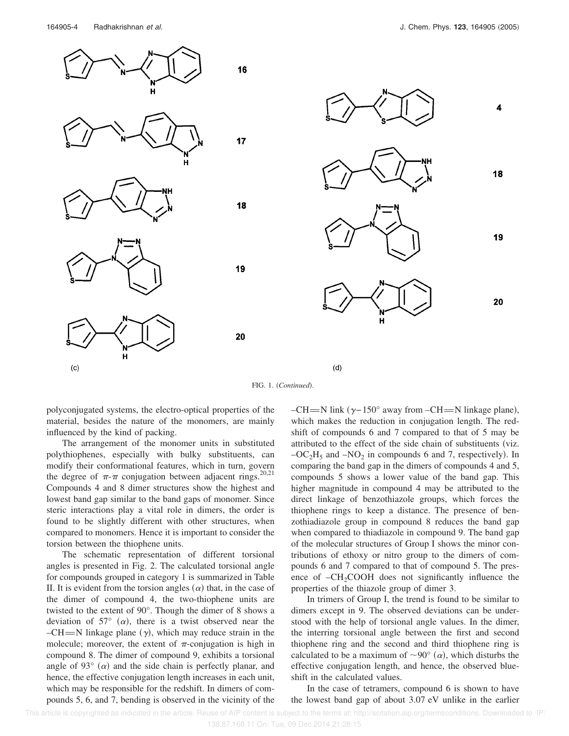

FIG. 1. (Continued).

polyconjugated systems, the electro-optical properties of the material, besides the nature of the monomers, are mainly influenced by the kind of packing.

The arrangement of the monomer units in substituted polythiophenes, especially with bulky substituents, can modify their conformational features, which in turn, govern the degree of  $\pi$ - $\pi$  conjugation between adjacent rings.<sup>20,21</sup> Compounds 4 and 8 dimer structures show the highest and lowest band gap similar to the band gaps of monomer. Since steric interactions play a vital role in dimers, the order is found to be slightly different with other structures, when compared to monomers. Hence it is important to consider the torsion between the thiophene units.

The schematic representation of different torsional angles is presented in Fig. 2. The calculated torsional angle for compounds grouped in category 1 is summarized in Table II. It is evident from the torsion angles  $(\alpha)$  that, in the case of the dimer of compound 4, the two-thiophene units are twisted to the extent of 90°. Though the dimer of 8 shows a deviation of 57 $\degree$  ( $\alpha$ ), there is a twist observed near the  $-CH = N$  linkage plane  $(y)$ , which may reduce strain in the molecule; moreover, the extent of  $\pi$ -conjugation is high in compound 8. The dimer of compound 9, exhibits a torsional angle of 93 $^{\circ}$  ( $\alpha$ ) and the side chain is perfectly planar, and hence, the effective conjugation length increases in each unit, which may be responsible for the redshift. In dimers of compounds 5, 6, and 7, bending is observed in the vicinity of the

 $-CH = N$  link ( $\gamma - 150^\circ$  away from  $-CH = N$  linkage plane), which makes the reduction in conjugation length. The redshift of compounds 6 and 7 compared to that of 5 may be attributed to the effect of the side chain of substituents (viz.  $-OC<sub>2</sub>H<sub>5</sub>$  and  $-NO<sub>2</sub>$  in compounds 6 and 7, respectively). In comparing the band gap in the dimers of compounds 4 and 5, compounds 5 shows a lower value of the band gap. This higher magnitude in compound 4 may be attributed to the direct linkage of benzothiazole groups, which forces the thiophene rings to keep a distance. The presence of benzothiadiazole group in compound 8 reduces the band gap when compared to thiadiazole in compound 9. The band gap of the molecular structures of Group I shows the minor contributions of ethoxy or nitro group to the dimers of compounds 6 and 7 compared to that of compound 5. The presence of  $-CH<sub>2</sub>COOH$  does not significantly influence the properties of the thiazole group of dimer 3.

In trimers of Group I, the trend is found to be similar to dimers except in 9. The observed deviations can be understood with the help of torsional angle values. In the dimer, the interring torsional angle between the first and second thiophene ring and the second and third thiophene ring is calculated to be a maximum of  $\sim 90^{\circ}$  ( $\alpha$ ), which disturbs the effective conjugation length, and hence, the observed blueshift in the calculated values.

In the case of tetramers, compound 6 is shown to have the lowest band gap of about 3.07 eV unlike in the earlier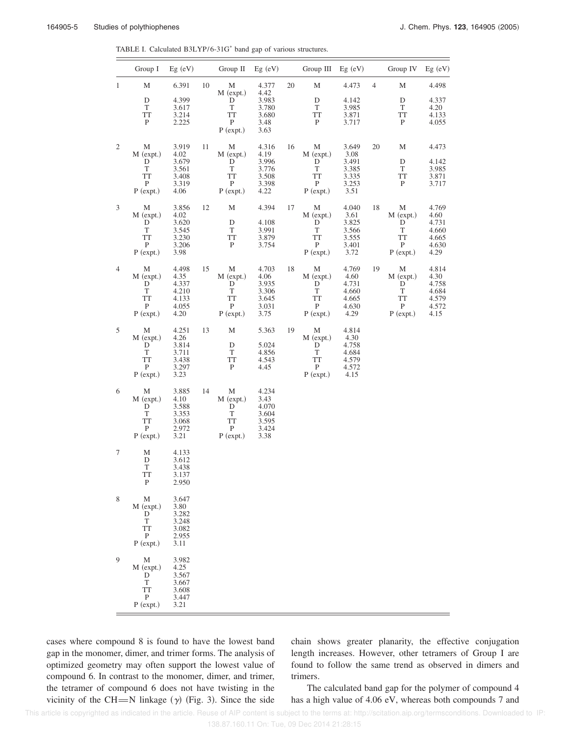| TABLE I. Calculated B3LYP/6-31G <sup>*</sup> band gap of various structures. |  |  |  |  |
|------------------------------------------------------------------------------|--|--|--|--|
|------------------------------------------------------------------------------|--|--|--|--|

|                | Group I                                                              | $Eg$ (eV)                                                 |    | Group $II$ Eg $(eV)$                                                   |                                                           |    | Group III                                                              | $Eg$ (eV)                                                 |                | Group IV                                                               | $Eg$ (eV)                                                 |
|----------------|----------------------------------------------------------------------|-----------------------------------------------------------|----|------------------------------------------------------------------------|-----------------------------------------------------------|----|------------------------------------------------------------------------|-----------------------------------------------------------|----------------|------------------------------------------------------------------------|-----------------------------------------------------------|
| $\mathbf{1}$   | М<br>D<br>$\mathbf T$                                                | 6.391<br>4.399<br>3.617                                   | 10 | M<br>M (expt.)<br>D<br>T                                               | 4.377<br>4.42<br>3.983<br>3.780                           | 20 | М<br>D<br>T                                                            | 4.473<br>4.142<br>3.985                                   | $\overline{4}$ | М<br>D<br>T                                                            | 4.498<br>4.337<br>4.20                                    |
|                | <b>TT</b><br>$\mathbf{P}$                                            | 3.214<br>2.225                                            |    | <b>TT</b><br>$\, {\bf P}$<br>$P$ (expt.)                               | 3.680<br>3.48<br>3.63                                     |    | <b>TT</b><br>P                                                         | 3.871<br>3.717                                            |                | <b>TT</b><br>$\mathbf P$                                               | 4.133<br>4.055                                            |
| $\mathfrak{2}$ | M<br>$M$ (expt.)<br>D<br>T<br><b>TT</b><br>P<br>$P$ (expt.)          | 3.919<br>4.02<br>3.679<br>3.561<br>3.408<br>3.319<br>4.06 | 11 | M<br>$M$ (expt.)<br>D<br>T<br><b>TT</b><br>$\mathbf{P}$<br>$P$ (expt.) | 4.316<br>4.19<br>3.996<br>3.776<br>3.508<br>3.398<br>4.22 | 16 | М<br>$M$ (expt.)<br>D<br>T<br><b>TT</b><br>P<br>$P$ (expt.)            | 3.649<br>3.08<br>3.491<br>3.385<br>3.335<br>3.253<br>3.51 | 20             | M<br>D<br>T<br><b>TT</b><br>$\mathbf{P}$                               | 4.473<br>4.142<br>3.985<br>3.871<br>3.717                 |
| $\mathfrak{Z}$ | М<br>M (expt.)<br>D<br>T<br><b>TT</b><br>$\mathbf{P}$<br>$P$ (expt.) | 3.856<br>4.02<br>3.620<br>3.545<br>3.230<br>3.206<br>3.98 | 12 | M<br>D<br>T<br><b>TT</b><br>$\, {\bf P}$                               | 4.394<br>4.108<br>3.991<br>3.879<br>3.754                 | 17 | М<br>$M$ (expt.)<br>D<br>T<br><b>TT</b><br>$\mathbf{P}$<br>$P$ (expt.) | 4.040<br>3.61<br>3.825<br>3.566<br>3.555<br>3.401<br>3.72 | 18             | M<br>$M$ (expt.)<br>D<br>T<br><b>TT</b><br>$\, {\bf P}$<br>$P$ (expt.) | 4.769<br>4.60<br>4.731<br>4.660<br>4.665<br>4.630<br>4.29 |
| $\overline{4}$ | М<br>$M$ (expt.)<br>D<br>T<br>TT<br>P<br>$P$ (expt.)                 | 4.498<br>4.35<br>4.337<br>4.210<br>4.133<br>4.055<br>4.20 | 15 | M<br>$M$ (expt.)<br>D<br>T<br>TT<br>$\mathbf{P}$<br>$P$ (expt.)        | 4.703<br>4.06<br>3.935<br>3.306<br>3.645<br>3.031<br>3.75 | 18 | М<br>$M$ (expt.)<br>D<br>T<br>TT<br>P<br>$P$ (expt.)                   | 4.769<br>4.60<br>4.731<br>4.660<br>4.665<br>4.630<br>4.29 | 19             | M<br>$M$ (expt.)<br>D<br>T<br>TT<br>$\mathbf{P}$<br>$P$ (expt.)        | 4.814<br>4.30<br>4.758<br>4.684<br>4.579<br>4.572<br>4.15 |
| 5              | М<br>$M$ (expt.)<br>D<br>T<br><b>TT</b><br>P<br>$P$ (expt.)          | 4.251<br>4.26<br>3.814<br>3.711<br>3.438<br>3.297<br>3.23 | 13 | M<br>D<br>T<br><b>TT</b><br>$\mathbf{P}$                               | 5.363<br>5.024<br>4.856<br>4.543<br>4.45                  | 19 | М<br>M (expt.)<br>D<br>T<br>TT<br>$\mathbf{P}$<br>$P$ (expt.)          | 4.814<br>4.30<br>4.758<br>4.684<br>4.579<br>4.572<br>4.15 |                |                                                                        |                                                           |
| 6              | М<br>$M$ (expt.)<br>D<br>T<br>TT<br>P<br>$P$ (expt.)                 | 3.885<br>4.10<br>3.588<br>3.353<br>3.068<br>2.972<br>3.21 | 14 | M<br>$M$ (expt.)<br>D<br>T<br><b>TT</b><br>$\mathbf P$<br>$P$ (expt.)  | 4.234<br>3.43<br>4.070<br>3.604<br>3.595<br>3.424<br>3.38 |    |                                                                        |                                                           |                |                                                                        |                                                           |
| 7              | М<br>D<br>T<br>ТT<br>P                                               | 4.133<br>3.612<br>3.438<br>3.137<br>2.950                 |    |                                                                        |                                                           |    |                                                                        |                                                           |                |                                                                        |                                                           |
| 8              | М<br>$M$ (expt.)<br>D<br>T<br><b>TT</b><br>P<br>$P$ (expt.)          | 3.647<br>3.80<br>3.282<br>3.248<br>3.082<br>2.955<br>3.11 |    |                                                                        |                                                           |    |                                                                        |                                                           |                |                                                                        |                                                           |
| 9              | М<br>M (expt.)<br>D<br>T<br>TT<br>P<br>$P$ (expt.)                   | 3.982<br>4.25<br>3.567<br>3.667<br>3.608<br>3.447<br>3.21 |    |                                                                        |                                                           |    |                                                                        |                                                           |                |                                                                        |                                                           |

cases where compound 8 is found to have the lowest band gap in the monomer, dimer, and trimer forms. The analysis of optimized geometry may often support the lowest value of compound 6. In contrast to the monomer, dimer, and trimer, the tetramer of compound 6 does not have twisting in the vicinity of the CH=N linkage  $(\gamma)$  (Fig. 3). Since the side

chain shows greater planarity, the effective conjugation length increases. However, other tetramers of Group I are found to follow the same trend as observed in dimers and trimers.

The calculated band gap for the polymer of compound 4 has a high value of 4.06 eV, whereas both compounds 7 and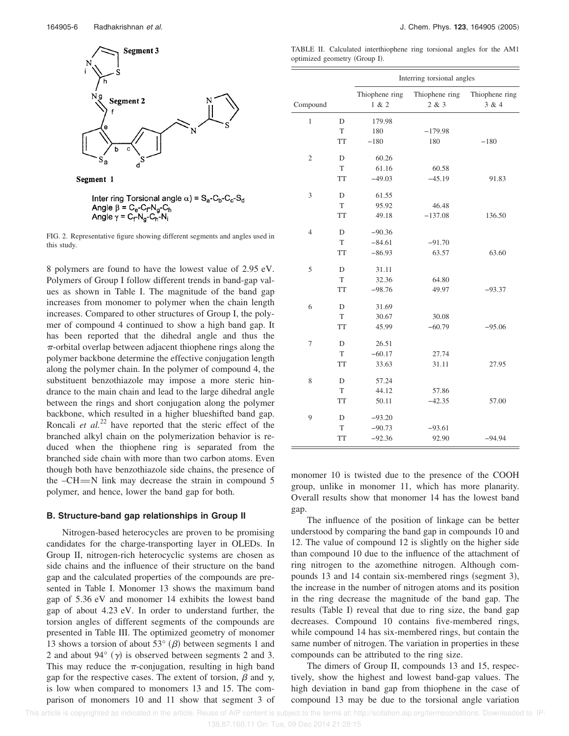

Segment 1

Inter ring Torsional angle  $\alpha$ ) = S<sub>a</sub>-C<sub>b</sub>-C<sub>c</sub>-S<sub>d</sub> Angle  $\beta = C_e - C_f - N_g - C_h$ Angle  $\gamma = C_f - N_g - C_h - N_i$ 

FIG. 2. Representative figure showing different segments and angles used in this study.

8 polymers are found to have the lowest value of 2.95 eV. Polymers of Group I follow different trends in band-gap values as shown in Table I. The magnitude of the band gap increases from monomer to polymer when the chain length increases. Compared to other structures of Group I, the polymer of compound 4 continued to show a high band gap. It has been reported that the dihedral angle and thus the  $\pi$ -orbital overlap between adjacent thiophene rings along the polymer backbone determine the effective conjugation length along the polymer chain. In the polymer of compound 4, the substituent benzothiazole may impose a more steric hindrance to the main chain and lead to the large dihedral angle between the rings and short conjugation along the polymer backbone, which resulted in a higher blueshifted band gap. Roncali *et al.*<sup>22</sup> have reported that the steric effect of the branched alkyl chain on the polymerization behavior is reduced when the thiophene ring is separated from the branched side chain with more than two carbon atoms. Even though both have benzothiazole side chains, the presence of the  $-CH = N$  link may decrease the strain in compound 5 polymer, and hence, lower the band gap for both.

#### **B. Structure-band gap relationships in Group II**

Nitrogen-based heterocycles are proven to be promising candidates for the charge-transporting layer in OLEDs. In Group II, nitrogen-rich heterocyclic systems are chosen as side chains and the influence of their structure on the band gap and the calculated properties of the compounds are presented in Table I. Monomer 13 shows the maximum band gap of 5.36 eV and monomer 14 exhibits the lowest band gap of about 4.23 eV. In order to understand further, the torsion angles of different segments of the compounds are presented in Table III. The optimized geometry of monomer 13 shows a torsion of about 53 $^{\circ}$  ( $\beta$ ) between segments 1 and 2 and about 94 $\degree$  ( $\gamma$ ) is observed between segments 2 and 3. This may reduce the  $\pi$ -conjugation, resulting in high band gap for the respective cases. The extent of torsion,  $\beta$  and  $\gamma$ , is low when compared to monomers 13 and 15. The comparison of monomers 10 and 11 show that segment 3 of

TABLE II. Calculated interthiophene ring torsional angles for the AM1 optimized geometry (Group I).

|                |             | Interring torsional angles |                         |                         |  |  |
|----------------|-------------|----------------------------|-------------------------|-------------------------|--|--|
| Compound       |             | Thiophene ring<br>1 & 2    | Thiophene ring<br>2 & 3 | Thiophene ring<br>3 & 4 |  |  |
| $\mathbf{1}$   | D           | 179.98                     |                         |                         |  |  |
|                | T           | 180                        | $-179.98$               |                         |  |  |
|                | <b>TT</b>   | $-180$                     | 180                     | $-180$                  |  |  |
| $\overline{2}$ | D           | 60.26                      |                         |                         |  |  |
|                | $\mathbf T$ | 61.16                      | 60.58                   |                         |  |  |
|                | <b>TT</b>   | $-49.03$                   | $-45.19$                | 91.83                   |  |  |
| 3              | D           | 61.55                      |                         |                         |  |  |
|                | T           | 95.92                      | 46.48                   |                         |  |  |
|                | <b>TT</b>   | 49.18                      | $-137.08$               | 136.50                  |  |  |
| $\overline{4}$ | D           | $-90.36$                   |                         |                         |  |  |
|                | T           | $-84.61$                   | $-91.70$                |                         |  |  |
|                | <b>TT</b>   | $-86.93$                   | 63.57                   | 63.60                   |  |  |
| 5              | D           | 31.11                      |                         |                         |  |  |
|                | $\mathbf T$ | 32.36                      | 64.80                   |                         |  |  |
|                | <b>TT</b>   | $-98.76$                   | 49.97                   | $-93.37$                |  |  |
| 6              | D           | 31.69                      |                         |                         |  |  |
|                | T           | 30.67                      | 30.08                   |                         |  |  |
|                | <b>TT</b>   | 45.99                      | $-60.79$                | $-95.06$                |  |  |
| $\tau$         | D           | 26.51                      |                         |                         |  |  |
|                | $\mathbf T$ | $-60.17$                   | 27.74                   |                         |  |  |
|                | <b>TT</b>   | 33.63                      | 31.11                   | 27.95                   |  |  |
| 8              | D           | 57.24                      |                         |                         |  |  |
|                | T           | 44.12                      | 57.86                   |                         |  |  |
|                | <b>TT</b>   | 50.11                      | $-42.35$                | 57.00                   |  |  |
| 9              | D           | $-93.20$                   |                         |                         |  |  |
|                | T           | $-90.73$                   | $-93.61$                |                         |  |  |
|                | <b>TT</b>   | $-92.36$                   | 92.90                   | $-94.94$                |  |  |

monomer 10 is twisted due to the presence of the COOH group, unlike in monomer 11, which has more planarity. Overall results show that monomer 14 has the lowest band gap.

The influence of the position of linkage can be better understood by comparing the band gap in compounds 10 and 12. The value of compound 12 is slightly on the higher side than compound 10 due to the influence of the attachment of ring nitrogen to the azomethine nitrogen. Although compounds 13 and 14 contain six-membered rings (segment 3), the increase in the number of nitrogen atoms and its position in the ring decrease the magnitude of the band gap. The results (Table I) reveal that due to ring size, the band gap decreases. Compound 10 contains five-membered rings, while compound 14 has six-membered rings, but contain the same number of nitrogen. The variation in properties in these compounds can be attributed to the ring size.

The dimers of Group II, compounds 13 and 15, respectively, show the highest and lowest band-gap values. The high deviation in band gap from thiophene in the case of compound 13 may be due to the torsional angle variation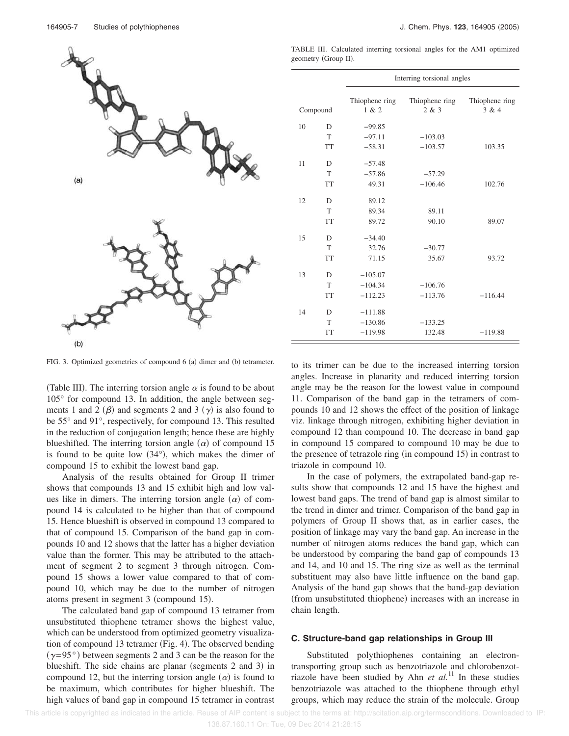

TABLE III. Calculated interring torsional angles for the AM1 optimized geometry (Group II).

|    |           | Interring torsional angles |                         |                         |  |  |  |
|----|-----------|----------------------------|-------------------------|-------------------------|--|--|--|
|    | Compound  | Thiophene ring<br>1 & 2    | Thiophene ring<br>2 & 3 | Thiophene ring<br>3 & 4 |  |  |  |
| 10 | D         | $-99.85$                   |                         |                         |  |  |  |
|    | T         | $-97.11$                   | $-103.03$               |                         |  |  |  |
|    | <b>TT</b> | $-58.31$                   | $-103.57$               | 103.35                  |  |  |  |
| 11 | D         | $-57.48$                   |                         |                         |  |  |  |
|    | T         | $-57.86$                   | $-57.29$                |                         |  |  |  |
|    | <b>TT</b> | 49.31                      | $-106.46$               | 102.76                  |  |  |  |
| 12 | D         | 89.12                      |                         |                         |  |  |  |
|    | T         | 89.34                      | 89.11                   |                         |  |  |  |
|    | <b>TT</b> | 89.72                      | 90.10                   | 89.07                   |  |  |  |
| 15 | D         | $-34.40$                   |                         |                         |  |  |  |
|    | T         | 32.76                      | $-30.77$                |                         |  |  |  |
|    | <b>TT</b> | 71.15                      | 35.67                   | 93.72                   |  |  |  |
| 13 | D         | $-105.07$                  |                         |                         |  |  |  |
|    | T         | $-104.34$                  | $-106.76$               |                         |  |  |  |
|    | <b>TT</b> | $-112.23$                  | $-113.76$               | $-116.44$               |  |  |  |
| 14 | D         | $-111.88$                  |                         |                         |  |  |  |
|    | T         | $-130.86$                  | $-133.25$               |                         |  |  |  |
|    | <b>TT</b> | $-119.98$                  | 132.48                  | $-119.88$               |  |  |  |

FIG. 3. Optimized geometries of compound 6 (a) dimer and (b) tetrameter.

(Table III). The interring torsion angle  $\alpha$  is found to be about 105° for compound 13. In addition, the angle between segments 1 and 2  $(\beta)$  and segments 2 and 3  $(\gamma)$  is also found to be 55° and 91°, respectively, for compound 13. This resulted in the reduction of conjugation length; hence these are highly blueshifted. The interring torsion angle  $(\alpha)$  of compound 15 is found to be quite low  $(34^{\circ})$ , which makes the dimer of compound 15 to exhibit the lowest band gap.

Analysis of the results obtained for Group II trimer shows that compounds 13 and 15 exhibit high and low values like in dimers. The interring torsion angle  $(\alpha)$  of compound 14 is calculated to be higher than that of compound 15. Hence blueshift is observed in compound 13 compared to that of compound 15. Comparison of the band gap in compounds 10 and 12 shows that the latter has a higher deviation value than the former. This may be attributed to the attachment of segment 2 to segment 3 through nitrogen. Compound 15 shows a lower value compared to that of compound 10, which may be due to the number of nitrogen atoms present in segment 3 (compound 15).

The calculated band gap of compound 13 tetramer from unsubstituted thiophene tetramer shows the highest value, which can be understood from optimized geometry visualization of compound 13 tetramer (Fig. 4). The observed bending  $(\gamma=95^{\circ})$  between segments 2 and 3 can be the reason for the blueshift. The side chains are planar (segments 2 and 3) in compound 12, but the interring torsion angle  $(\alpha)$  is found to be maximum, which contributes for higher blueshift. The high values of band gap in compound 15 tetramer in contrast to its trimer can be due to the increased interring torsion angles. Increase in planarity and reduced interring torsion angle may be the reason for the lowest value in compound 11. Comparison of the band gap in the tetramers of compounds 10 and 12 shows the effect of the position of linkage viz. linkage through nitrogen, exhibiting higher deviation in compound 12 than compound 10. The decrease in band gap in compound 15 compared to compound 10 may be due to the presence of tetrazole ring (in compound 15) in contrast to triazole in compound 10.

In the case of polymers, the extrapolated band-gap results show that compounds 12 and 15 have the highest and lowest band gaps. The trend of band gap is almost similar to the trend in dimer and trimer. Comparison of the band gap in polymers of Group II shows that, as in earlier cases, the position of linkage may vary the band gap. An increase in the number of nitrogen atoms reduces the band gap, which can be understood by comparing the band gap of compounds 13 and 14, and 10 and 15. The ring size as well as the terminal substituent may also have little influence on the band gap. Analysis of the band gap shows that the band-gap deviation (from unsubstituted thiophene) increases with an increase in chain length.

#### **C. Structure-band gap relationships in Group III**

Substituted polythiophenes containing an electrontransporting group such as benzotriazole and chlorobenzotriazole have been studied by Ahn *et al.*<sup>11</sup> In these studies benzotriazole was attached to the thiophene through ethyl groups, which may reduce the strain of the molecule. Group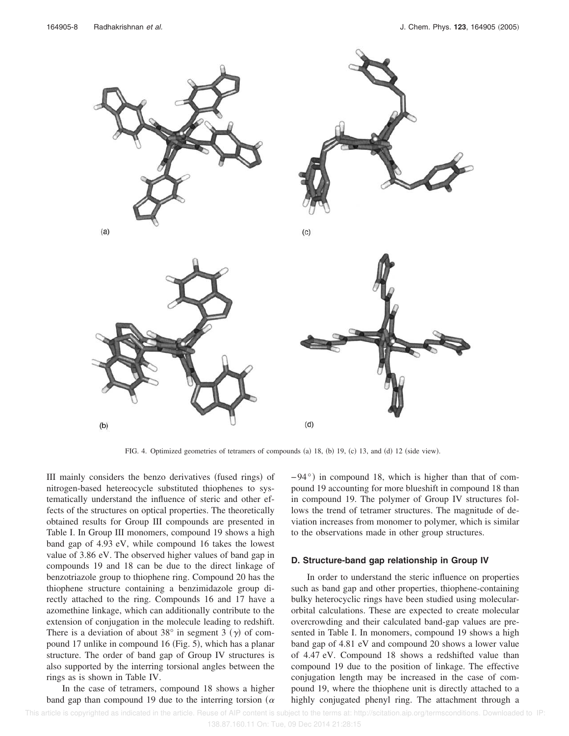

FIG. 4. Optimized geometries of tetramers of compounds (a) 18, (b) 19, (c) 13, and (d) 12 (side view).

III mainly considers the benzo derivatives (fused rings) of nitrogen-based hetereocycle substituted thiophenes to systematically understand the influence of steric and other effects of the structures on optical properties. The theoretically obtained results for Group III compounds are presented in Table I. In Group III monomers, compound 19 shows a high band gap of 4.93 eV, while compound 16 takes the lowest value of 3.86 eV. The observed higher values of band gap in compounds 19 and 18 can be due to the direct linkage of benzotriazole group to thiophene ring. Compound 20 has the thiophene structure containing a benzimidazole group directly attached to the ring. Compounds 16 and 17 have a azomethine linkage, which can additionally contribute to the extension of conjugation in the molecule leading to redshift. There is a deviation of about 38° in segment 3 ( $\gamma$ ) of compound 17 unlike in compound 16 (Fig. 5), which has a planar structure. The order of band gap of Group IV structures is also supported by the interring torsional angles between the rings as is shown in Table IV.

In the case of tetramers, compound 18 shows a higher band gap than compound 19 due to the interring torsion ( $\alpha$ )

−94°) in compound 18, which is higher than that of compound 19 accounting for more blueshift in compound 18 than in compound 19. The polymer of Group IV structures follows the trend of tetramer structures. The magnitude of deviation increases from monomer to polymer, which is similar to the observations made in other group structures.

#### **D. Structure-band gap relationship in Group IV**

In order to understand the steric influence on properties such as band gap and other properties, thiophene-containing bulky heterocyclic rings have been studied using molecularorbital calculations. These are expected to create molecular overcrowding and their calculated band-gap values are presented in Table I. In monomers, compound 19 shows a high band gap of 4.81 eV and compound 20 shows a lower value of 4.47 eV. Compound 18 shows a redshifted value than compound 19 due to the position of linkage. The effective conjugation length may be increased in the case of compound 19, where the thiophene unit is directly attached to a highly conjugated phenyl ring. The attachment through a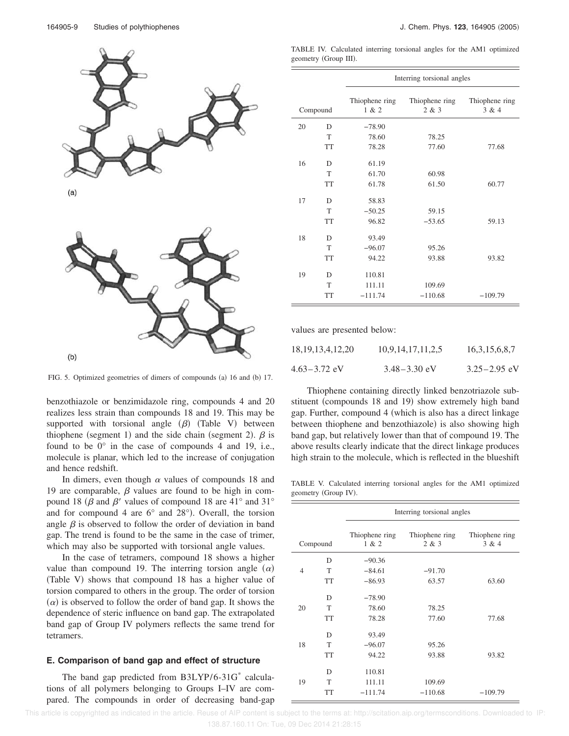

 $(a)$ 



FIG. 5. Optimized geometries of dimers of compounds (a) 16 and (b) 17.

benzothiazole or benzimidazole ring, compounds 4 and 20 realizes less strain than compounds 18 and 19. This may be supported with torsional angle  $(\beta)$  (Table V) between thiophene (segment 1) and the side chain (segment 2).  $\beta$  is found to be  $0^{\circ}$  in the case of compounds 4 and 19, i.e., molecule is planar, which led to the increase of conjugation and hence redshift.

In dimers, even though  $\alpha$  values of compounds 18 and 19 are comparable,  $\beta$  values are found to be high in compound 18 ( $\beta$  and  $\beta'$  values of compound 18 are 41° and 31° and for compound 4 are  $6^{\circ}$  and  $28^{\circ}$ ). Overall, the torsion angle  $\beta$  is observed to follow the order of deviation in band gap. The trend is found to be the same in the case of trimer, which may also be supported with torsional angle values.

In the case of tetramers, compound 18 shows a higher value than compound 19. The interring torsion angle  $(\alpha)$ (Table V) shows that compound 18 has a higher value of torsion compared to others in the group. The order of torsion  $(\alpha)$  is observed to follow the order of band gap. It shows the dependence of steric influence on band gap. The extrapolated band gap of Group IV polymers reflects the same trend for tetramers.

## **E. Comparison of band gap and effect of structure**

The band gap predicted from B3LYP/6-31G\* calculations of all polymers belonging to Groups I–IV are compared. The compounds in order of decreasing band-gap

TABLE IV. Calculated interring torsional angles for the AM1 optimized geometry (Group III).

|    |           | Interring torsional angles |                         |                         |  |  |
|----|-----------|----------------------------|-------------------------|-------------------------|--|--|
|    | Compound  | Thiophene ring<br>1 & 2    | Thiophene ring<br>2 & 3 | Thiophene ring<br>3 & 4 |  |  |
| 20 | D         | $-78.90$                   |                         |                         |  |  |
|    | T         | 78.60                      | 78.25                   |                         |  |  |
|    | <b>TT</b> | 78.28                      | 77.60                   | 77.68                   |  |  |
| 16 | D         | 61.19                      |                         |                         |  |  |
|    | T         | 61.70                      | 60.98                   |                         |  |  |
|    | <b>TT</b> | 61.78                      | 61.50                   | 60.77                   |  |  |
| 17 | D         | 58.83                      |                         |                         |  |  |
|    | T         | $-50.25$                   | 59.15                   |                         |  |  |
|    | <b>TT</b> | 96.82                      | $-53.65$                | 59.13                   |  |  |
| 18 | D         | 93.49                      |                         |                         |  |  |
|    | T         | $-96.07$                   | 95.26                   |                         |  |  |
|    | <b>TT</b> | 94.22                      | 93.88                   | 93.82                   |  |  |
| 19 | D         | 110.81                     |                         |                         |  |  |
|    | T         | 111.11                     | 109.69                  |                         |  |  |
|    | <b>TT</b> | $-111.74$                  | $-110.68$               | $-109.79$               |  |  |

values are presented below:

| 18, 19, 13, 4, 12, 20 | 10,9,14,17,11,2,5 | 16, 3, 15, 6, 8, 7 |
|-----------------------|-------------------|--------------------|
| 4.63–3.72 eV          | $3.48 - 3.30$ eV  | $3.25 - 2.95$ eV   |

Thiophene containing directly linked benzotriazole substituent (compounds 18 and 19) show extremely high band gap. Further, compound 4 (which is also has a direct linkage between thiophene and benzothiazole) is also showing high band gap, but relatively lower than that of compound 19. The above results clearly indicate that the direct linkage produces high strain to the molecule, which is reflected in the blueshift

TABLE V. Calculated interring torsional angles for the AM1 optimized geometry (Group IV).

|                |           | Interring torsional angles |                         |                         |  |  |
|----------------|-----------|----------------------------|-------------------------|-------------------------|--|--|
| Compound       |           | Thiophene ring<br>1 & 2    | Thiophene ring<br>2 & 3 | Thiophene ring<br>3 & 4 |  |  |
|                | D         | $-90.36$                   |                         |                         |  |  |
| $\overline{4}$ | T         | $-84.61$                   | $-91.70$                |                         |  |  |
|                | <b>TT</b> | $-86.93$                   | 63.57                   | 63.60                   |  |  |
|                | D         | $-78.90$                   |                         |                         |  |  |
| 20             | T         | 78.60                      | 78.25                   |                         |  |  |
|                | <b>TT</b> | 78.28                      | 77.60                   | 77.68                   |  |  |
|                | D         | 93.49                      |                         |                         |  |  |
| 18             | T         | $-96.07$                   | 95.26                   |                         |  |  |
|                | <b>TT</b> | 94.22                      | 93.88                   | 93.82                   |  |  |
|                | D         | 110.81                     |                         |                         |  |  |
| 19             | T         | 111.11                     | 109.69                  |                         |  |  |
|                | <b>TT</b> | $-111.74$                  | $-110.68$               | $-109.79$               |  |  |

 This article is copyrighted as indicated in the article. Reuse of AIP content is subject to the terms at: http://scitation.aip.org/termsconditions. Downloaded to IP: 138.87.160.11 On: Tue, 09 Dec 2014 21:28:15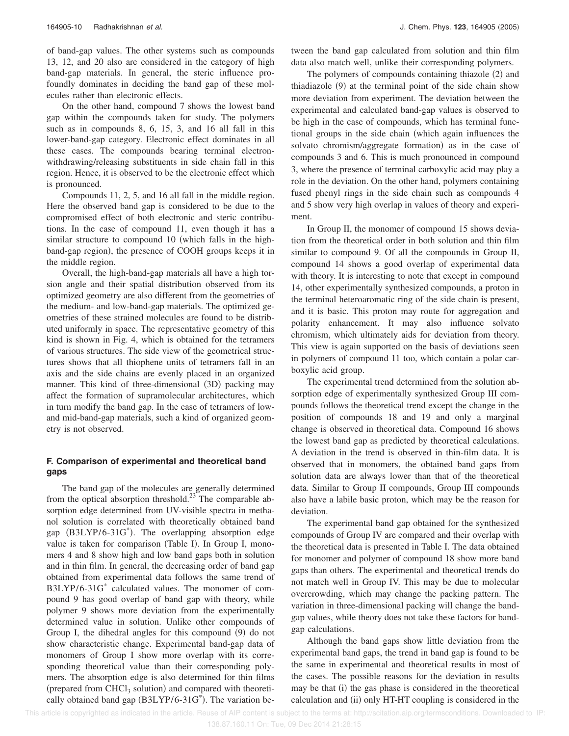of band-gap values. The other systems such as compounds 13, 12, and 20 also are considered in the category of high band-gap materials. In general, the steric influence profoundly dominates in deciding the band gap of these molecules rather than electronic effects.

On the other hand, compound 7 shows the lowest band gap within the compounds taken for study. The polymers such as in compounds 8, 6, 15, 3, and 16 all fall in this lower-band-gap category. Electronic effect dominates in all these cases. The compounds bearing terminal electronwithdrawing/releasing substituents in side chain fall in this region. Hence, it is observed to be the electronic effect which is pronounced.

Compounds 11, 2, 5, and 16 all fall in the middle region. Here the observed band gap is considered to be due to the compromised effect of both electronic and steric contributions. In the case of compound 11, even though it has a similar structure to compound 10 (which falls in the highband-gap region), the presence of COOH groups keeps it in the middle region.

Overall, the high-band-gap materials all have a high torsion angle and their spatial distribution observed from its optimized geometry are also different from the geometries of the medium- and low-band-gap materials. The optimized geometries of these strained molecules are found to be distributed uniformly in space. The representative geometry of this kind is shown in Fig. 4, which is obtained for the tetramers of various structures. The side view of the geometrical structures shows that all thiophene units of tetramers fall in an axis and the side chains are evenly placed in an organized manner. This kind of three-dimensional (3D) packing may affect the formation of supramolecular architectures, which in turn modify the band gap. In the case of tetramers of lowand mid-band-gap materials, such a kind of organized geometry is not observed.

## **F. Comparison of experimental and theoretical band gaps**

The band gap of the molecules are generally determined from the optical absorption threshold.<sup>23</sup> The comparable absorption edge determined from UV-visible spectra in methanol solution is correlated with theoretically obtained band gap (B3LYP/6-31G<sup>\*</sup>). The overlapping absorption edge value is taken for comparison (Table I). In Group I, monomers 4 and 8 show high and low band gaps both in solution and in thin film. In general, the decreasing order of band gap obtained from experimental data follows the same trend of B3LYP/6-31G\* calculated values. The monomer of compound 9 has good overlap of band gap with theory, while polymer 9 shows more deviation from the experimentally determined value in solution. Unlike other compounds of Group I, the dihedral angles for this compound (9) do not show characteristic change. Experimental band-gap data of monomers of Group I show more overlap with its corresponding theoretical value than their corresponding polymers. The absorption edge is also determined for thin films (prepared from CHCl<sub>3</sub> solution) and compared with theoretically obtained band gap (B3LYP/6-31G\*). The variation between the band gap calculated from solution and thin film data also match well, unlike their corresponding polymers.

The polymers of compounds containing thiazole (2) and thiadiazole (9) at the terminal point of the side chain show more deviation from experiment. The deviation between the experimental and calculated band-gap values is observed to be high in the case of compounds, which has terminal functional groups in the side chain (which again influences the solvato chromism/aggregate formation) as in the case of compounds 3 and 6. This is much pronounced in compound 3, where the presence of terminal carboxylic acid may play a role in the deviation. On the other hand, polymers containing fused phenyl rings in the side chain such as compounds 4 and 5 show very high overlap in values of theory and experiment.

In Group II, the monomer of compound 15 shows deviation from the theoretical order in both solution and thin film similar to compound 9. Of all the compounds in Group II, compound 14 shows a good overlap of experimental data with theory. It is interesting to note that except in compound 14, other experimentally synthesized compounds, a proton in the terminal heteroaromatic ring of the side chain is present, and it is basic. This proton may route for aggregation and polarity enhancement. It may also influence solvato chromism, which ultimately aids for deviation from theory. This view is again supported on the basis of deviations seen in polymers of compound 11 too, which contain a polar carboxylic acid group.

The experimental trend determined from the solution absorption edge of experimentally synthesized Group III compounds follows the theoretical trend except the change in the position of compounds 18 and 19 and only a marginal change is observed in theoretical data. Compound 16 shows the lowest band gap as predicted by theoretical calculations. A deviation in the trend is observed in thin-film data. It is observed that in monomers, the obtained band gaps from solution data are always lower than that of the theoretical data. Similar to Group II compounds, Group III compounds also have a labile basic proton, which may be the reason for deviation.

The experimental band gap obtained for the synthesized compounds of Group IV are compared and their overlap with the theoretical data is presented in Table I. The data obtained for monomer and polymer of compound 18 show more band gaps than others. The experimental and theoretical trends do not match well in Group IV. This may be due to molecular overcrowding, which may change the packing pattern. The variation in three-dimensional packing will change the bandgap values, while theory does not take these factors for bandgap calculations.

Although the band gaps show little deviation from the experimental band gaps, the trend in band gap is found to be the same in experimental and theoretical results in most of the cases. The possible reasons for the deviation in results may be that (i) the gas phase is considered in the theoretical calculation and (ii) only HT-HT coupling is considered in the